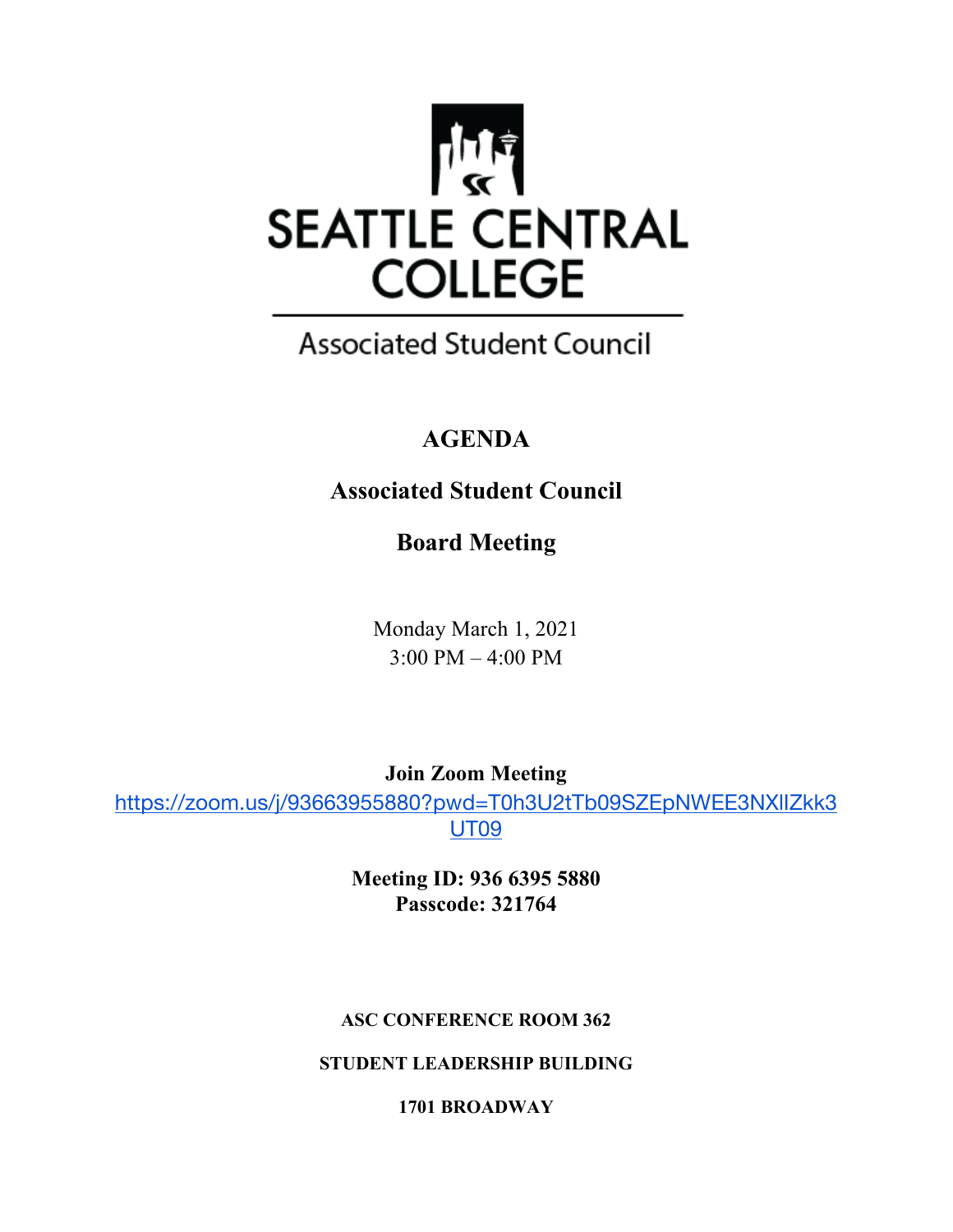

## **Associated Student Council**

## **AGENDA**

## **Associated Student Council**

**Board Meeting**

Monday March 1, 2021 3:00 PM – 4:00 PM

**Join Zoom Meeting**

https://zoom.us/j/93663955880?pwd=T0h3U2tTb09SZEpNWEE3NXlIZkk3 UT09

> **Meeting ID: 936 6395 5880 Passcode: 321764**

#### **ASC CONFERENCE ROOM 362**

**STUDENT LEADERSHIP BUILDING**

**1701 BROADWAY**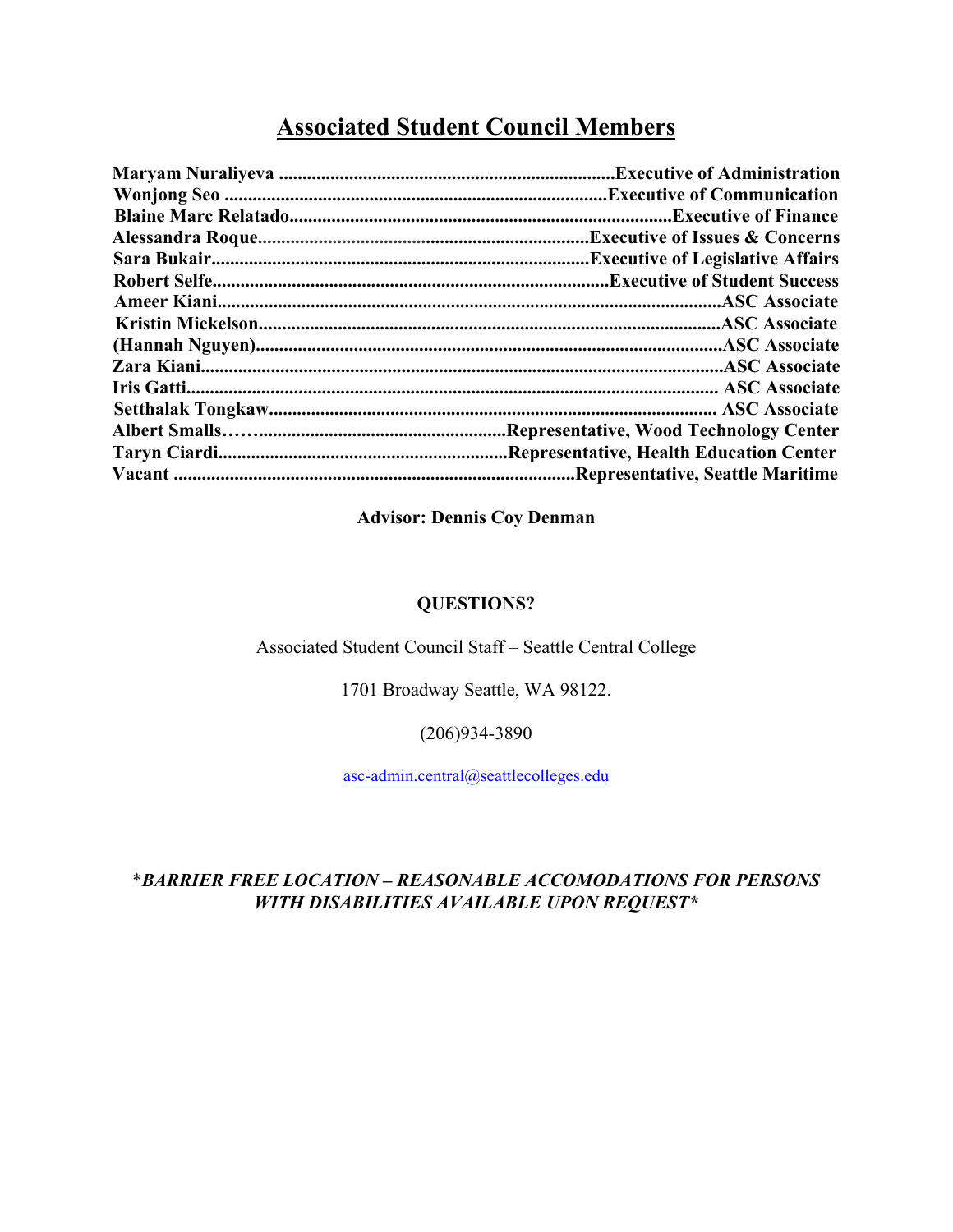### **Associated Student Council Members**

| <b>Executive of Issues &amp; Concerns.</b> |
|--------------------------------------------|
| <b>Executive of Legislative Affairs.</b>   |
|                                            |
|                                            |
|                                            |
|                                            |
|                                            |
|                                            |
|                                            |
|                                            |
| Representative, Health Education Center    |
| Representative, Seattle Maritime.          |
|                                            |

#### **Advisor: Dennis Coy Denman**

#### **QUESTIONS?**

#### Associated Student Council Staff – Seattle Central College

1701 Broadway Seattle, WA 98122.

(206)934-3890

asc-admin.central@seattlecolleges.edu

#### \**BARRIER FREE LOCATION – REASONABLE ACCOMODATIONS FOR PERSONS WITH DISABILITIES AVAILABLE UPON REQUEST\**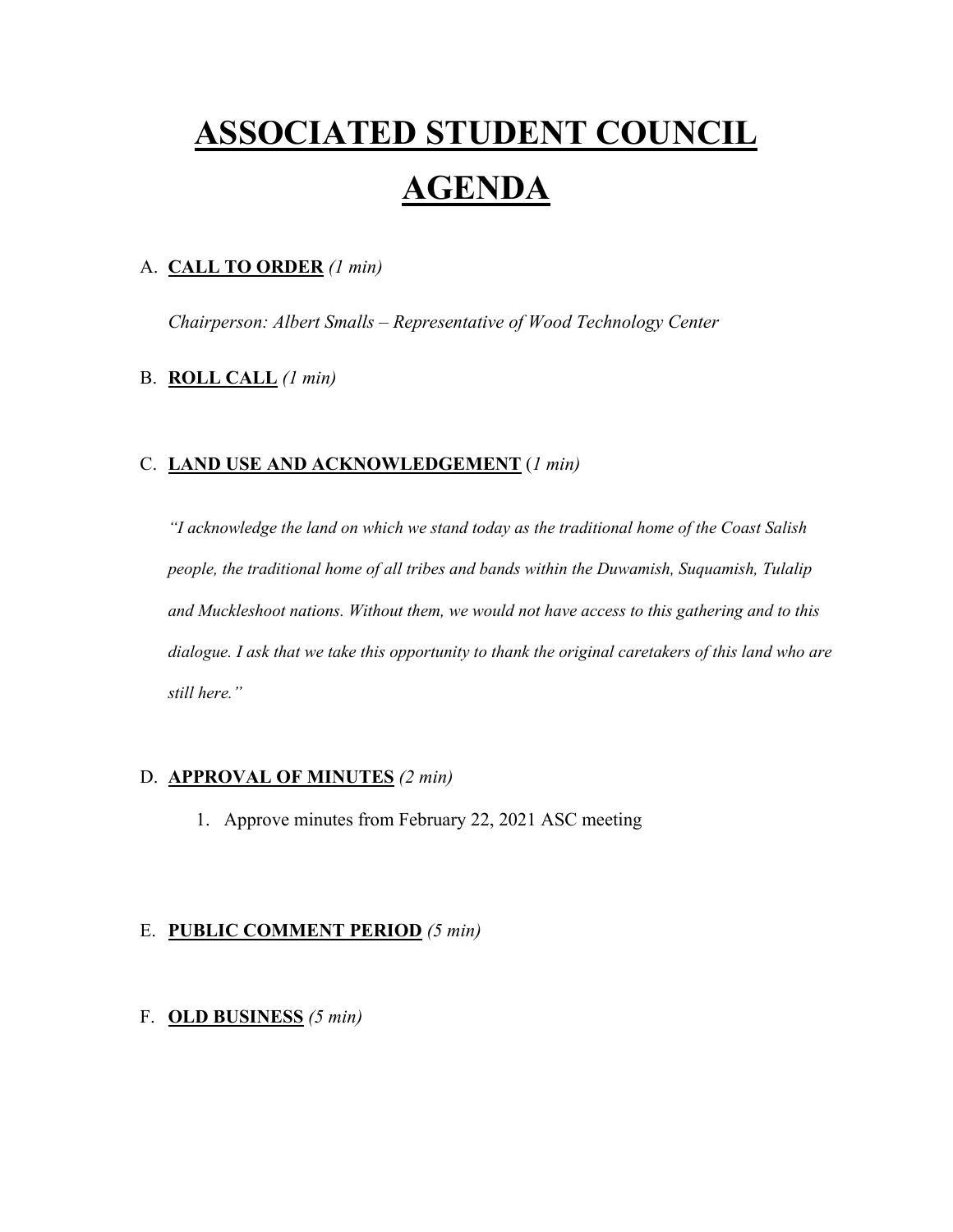# **ASSOCIATED STUDENT COUNCIL AGENDA**

#### A. **CALL TO ORDER** *(1 min)*

*Chairperson: Albert Smalls – Representative of Wood Technology Center*

#### B. **ROLL CALL** *(1 min)*

#### C. **LAND USE AND ACKNOWLEDGEMENT** (*1 min)*

*"I acknowledge the land on which we stand today as the traditional home of the Coast Salish people, the traditional home of all tribes and bands within the Duwamish, Suquamish, Tulalip and Muckleshoot nations. Without them, we would not have access to this gathering and to this dialogue. I ask that we take this opportunity to thank the original caretakers of this land who are still here."* 

#### D. **APPROVAL OF MINUTES** *(2 min)*

1. Approve minutes from February 22, 2021 ASC meeting

#### E. **PUBLIC COMMENT PERIOD** *(5 min)*

#### F. **OLD BUSINESS** *(5 min)*